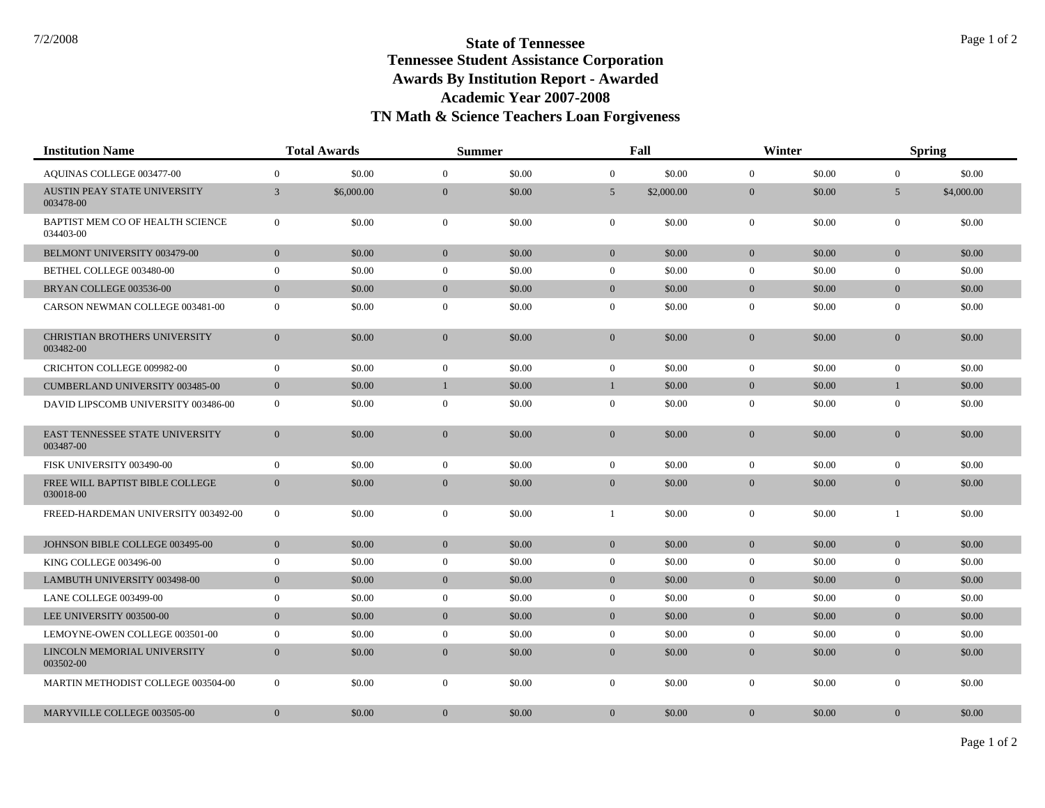| <b>Institution Name</b>                       | <b>Total Awards</b> |            | <b>Summer</b>    |        | Fall           |            | Winter         |        | <b>Spring</b>  |            |
|-----------------------------------------------|---------------------|------------|------------------|--------|----------------|------------|----------------|--------|----------------|------------|
| <b>AOUINAS COLLEGE 003477-00</b>              | $\mathbf{0}$        | \$0.00     | $\theta$         | \$0.00 | $\Omega$       | \$0.00     | $\overline{0}$ | \$0.00 | $\overline{0}$ | \$0.00     |
| AUSTIN PEAY STATE UNIVERSITY<br>003478-00     | 3                   | \$6,000.00 | $\mathbf{0}$     | \$0.00 | $5^{\circ}$    | \$2,000.00 | $\overline{0}$ | \$0.00 | 5              | \$4,000.00 |
| BAPTIST MEM CO OF HEALTH SCIENCE<br>034403-00 | $\overline{0}$      | \$0.00     | $\overline{0}$   | \$0.00 | $\overline{0}$ | \$0.00     | $\mathbf{0}$   | \$0.00 | $\overline{0}$ | \$0.00     |
| BELMONT UNIVERSITY 003479-00                  | $\mathbf{0}$        | \$0.00     | $\mathbf{0}$     | \$0.00 | $\overline{0}$ | \$0.00     | $\mathbf{0}$   | \$0.00 | $\overline{0}$ | \$0.00     |
| BETHEL COLLEGE 003480-00                      | $\mathbf{0}$        | \$0.00     | $\mathbf{0}$     | \$0.00 | $\overline{0}$ | \$0.00     | $\overline{0}$ | \$0.00 | $\overline{0}$ | \$0.00     |
| BRYAN COLLEGE 003536-00                       | $\mathbf{0}$        | \$0.00     | $\mathbf{0}$     | \$0.00 | $\overline{0}$ | \$0.00     | $\overline{0}$ | \$0.00 | $\overline{0}$ | \$0.00     |
| CARSON NEWMAN COLLEGE 003481-00               | $\mathbf{0}$        | \$0.00     | $\mathbf{0}$     | \$0.00 | $\overline{0}$ | \$0.00     | $\mathbf{0}$   | \$0.00 | $\mathbf{0}$   | \$0.00     |
| CHRISTIAN BROTHERS UNIVERSITY<br>003482-00    | $\mathbf{0}$        | \$0.00     | $\boldsymbol{0}$ | \$0.00 | $\overline{0}$ | \$0.00     | $\mathbf{0}$   | \$0.00 | $\overline{0}$ | \$0.00     |
| <b>CRICHTON COLLEGE 009982-00</b>             | $\overline{0}$      | \$0.00     | $\mathbf{0}$     | \$0.00 | $\overline{0}$ | \$0.00     | $\overline{0}$ | \$0.00 | $\overline{0}$ | \$0.00     |
| CUMBERLAND UNIVERSITY 003485-00               | $\mathbf{0}$        | \$0.00     | $\mathbf{1}$     | \$0.00 | 1              | \$0.00     | $\mathbf{0}$   | \$0.00 | $\overline{1}$ | \$0.00     |
| DAVID LIPSCOMB UNIVERSITY 003486-00           | $\mathbf{0}$        | \$0.00     | $\overline{0}$   | \$0.00 | $\overline{0}$ | \$0.00     | $\overline{0}$ | \$0.00 | $\overline{0}$ | \$0.00     |
| EAST TENNESSEE STATE UNIVERSITY<br>003487-00  | $\mathbf{0}$        | \$0.00     | $\mathbf{0}$     | \$0.00 | $\overline{0}$ | \$0.00     | $\overline{0}$ | \$0.00 | $\overline{0}$ | \$0.00     |
| FISK UNIVERSITY 003490-00                     | $\overline{0}$      | \$0.00     | $\mathbf{0}$     | \$0.00 | $\overline{0}$ | \$0.00     | $\mathbf{0}$   | \$0.00 | $\overline{0}$ | \$0.00     |
| FREE WILL BAPTIST BIBLE COLLEGE<br>030018-00  | $\overline{0}$      | \$0.00     | $\overline{0}$   | \$0.00 | $\overline{0}$ | \$0.00     | $\overline{0}$ | \$0.00 | $\overline{0}$ | \$0.00     |
| FREED-HARDEMAN UNIVERSITY 003492-00           | $\mathbf{0}$        | \$0.00     | $\mathbf{0}$     | \$0.00 | 1              | \$0.00     | $\mathbf{0}$   | \$0.00 | 1              | \$0.00     |
| JOHNSON BIBLE COLLEGE 003495-00               | $\mathbf{0}$        | \$0.00     | $\overline{0}$   | \$0.00 | $\overline{0}$ | \$0.00     | $\mathbf{0}$   | \$0.00 | $\overline{0}$ | \$0.00     |
| KING COLLEGE 003496-00                        | $\mathbf{0}$        | \$0.00     | $\mathbf{0}$     | \$0.00 | $\overline{0}$ | \$0.00     | $\overline{0}$ | \$0.00 | $\overline{0}$ | \$0.00     |
| <b>LAMBUTH UNIVERSITY 003498-00</b>           | $\mathbf{0}$        | \$0.00     | $\mathbf{0}$     | \$0.00 | $\overline{0}$ | \$0.00     | $\mathbf{0}$   | \$0.00 | $\overline{0}$ | \$0.00     |
| LANE COLLEGE 003499-00                        | $\mathbf{0}$        | \$0.00     | $\mathbf{0}$     | \$0.00 | $\overline{0}$ | \$0.00     | $\mathbf{0}$   | \$0.00 | $\overline{0}$ | \$0.00     |
| LEE UNIVERSITY 003500-00                      | $\mathbf{0}$        | \$0.00     | $\overline{0}$   | \$0.00 | $\overline{0}$ | \$0.00     | $\overline{0}$ | \$0.00 | $\overline{0}$ | \$0.00     |
| LEMOYNE-OWEN COLLEGE 003501-00                | $\overline{0}$      | \$0.00     | $\mathbf{0}$     | \$0.00 | $\overline{0}$ | \$0.00     | $\overline{0}$ | \$0.00 | $\overline{0}$ | \$0.00     |
| LINCOLN MEMORIAL UNIVERSITY<br>003502-00      | $\overline{0}$      | \$0.00     | $\mathbf{0}$     | \$0.00 | $\overline{0}$ | \$0.00     | $\overline{0}$ | \$0.00 | $\overline{0}$ | \$0.00     |
| MARTIN METHODIST COLLEGE 003504-00            | $\overline{0}$      | \$0.00     | $\theta$         | \$0.00 | $\overline{0}$ | \$0.00     | $\overline{0}$ | \$0.00 | $\overline{0}$ | \$0.00     |
| MARYVILLE COLLEGE 003505-00                   | $\overline{0}$      | \$0.00     | $\mathbf{0}$     | \$0.00 | $\overline{0}$ | \$0.00     | $\mathbf{0}$   | \$0.00 | $\overline{0}$ | \$0.00     |
|                                               |                     |            |                  |        |                |            |                |        |                |            |